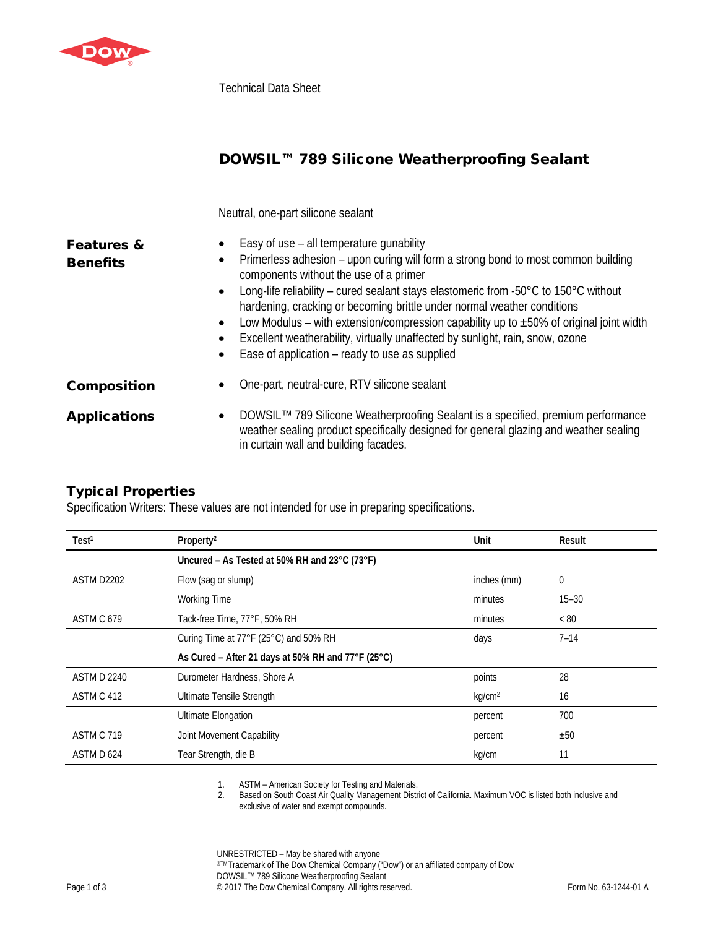

Technical Data Sheet

## DOWSIL™ 789 Silicone Weatherproofing Sealant

Neutral, one-part silicone sealant

| <b>Features &amp;</b><br><b>Benefits</b> | ٠<br>$\bullet$<br>$\bullet$<br>٠ | Easy of use - all temperature gunability<br>Primerless adhesion - upon curing will form a strong bond to most common building<br>components without the use of a primer<br>Long-life reliability – cured sealant stays elastomeric from -50°C to 150°C without<br>hardening, cracking or becoming brittle under normal weather conditions<br>Low Modulus – with extension/compression capability up to $\pm 50\%$ of original joint width<br>Excellent weatherability, virtually unaffected by sunlight, rain, snow, ozone<br>Ease of application – ready to use as supplied |
|------------------------------------------|----------------------------------|------------------------------------------------------------------------------------------------------------------------------------------------------------------------------------------------------------------------------------------------------------------------------------------------------------------------------------------------------------------------------------------------------------------------------------------------------------------------------------------------------------------------------------------------------------------------------|
| <b>Composition</b>                       |                                  | One-part, neutral-cure, RTV silicone sealant                                                                                                                                                                                                                                                                                                                                                                                                                                                                                                                                 |
| <b>Applications</b>                      | $\bullet$                        | DOWSIL™ 789 Silicone Weatherproofing Sealant is a specified, premium performance<br>weather sealing product specifically designed for general glazing and weather sealing<br>in curtain wall and building facades.                                                                                                                                                                                                                                                                                                                                                           |

## Typical Properties

Specification Writers: These values are not intended for use in preparing specifications.

| Test <sup>1</sup>  | Property <sup>2</sup>                              | Unit               | Result      |
|--------------------|----------------------------------------------------|--------------------|-------------|
|                    | Uncured - As Tested at 50% RH and 23°C (73°F)      |                    |             |
| ASTM D2202         | Flow (sag or slump)                                | inches (mm)        | $\mathbf 0$ |
|                    | <b>Working Time</b>                                | minutes            | $15 - 30$   |
| ASTM C 679         | Tack-free Time, 77°F, 50% RH                       | minutes            | < 80        |
|                    | Curing Time at 77°F (25°C) and 50% RH              | days               | $7 - 14$    |
|                    | As Cured - After 21 days at 50% RH and 77°F (25°C) |                    |             |
| <b>ASTM D 2240</b> | Durometer Hardness, Shore A                        | points             | 28          |
| ASTM C 412         | Ultimate Tensile Strength                          | kg/cm <sup>2</sup> | 16          |
|                    | <b>Ultimate Elongation</b>                         | percent            | 700         |
| ASTM C 719         | Joint Movement Capability                          | percent            | ±50         |
| ASTM D 624         | Tear Strength, die B                               | kg/cm              | 11          |

1. ASTM – American Society for Testing and Materials.

2. Based on South Coast Air Quality Management District of California. Maximum VOC is listed both inclusive and exclusive of water and exempt compounds.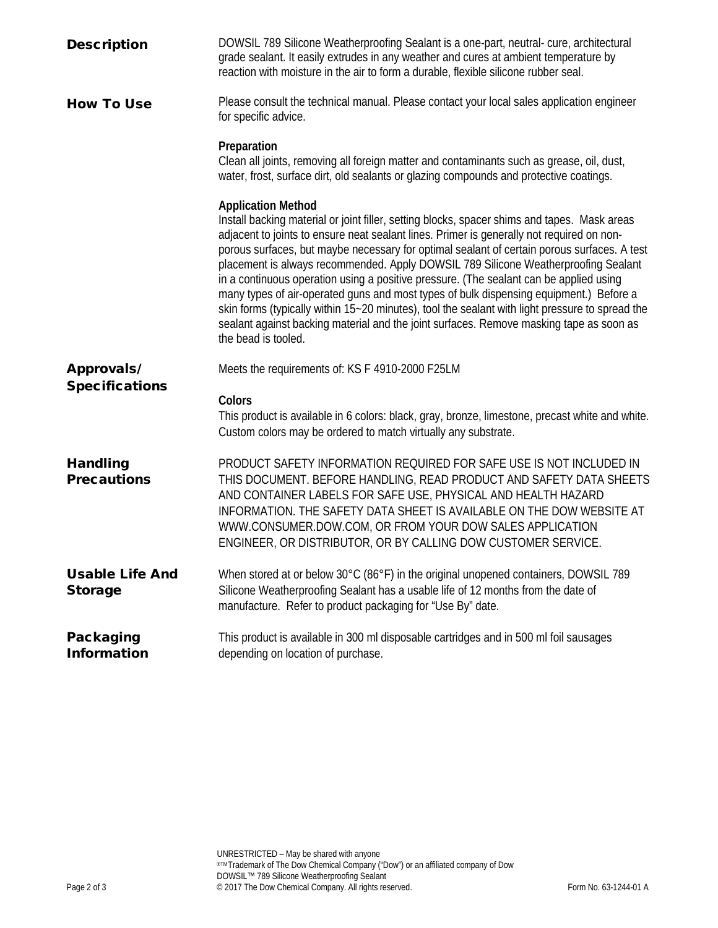| <b>Description</b>                       | DOWSIL 789 Silicone Weatherproofing Sealant is a one-part, neutral-cure, architectural<br>grade sealant. It easily extrudes in any weather and cures at ambient temperature by<br>reaction with moisture in the air to form a durable, flexible silicone rubber seal.                                                                                                                                                                                                                                                                                                                                                                                                                                                                                                                                                |
|------------------------------------------|----------------------------------------------------------------------------------------------------------------------------------------------------------------------------------------------------------------------------------------------------------------------------------------------------------------------------------------------------------------------------------------------------------------------------------------------------------------------------------------------------------------------------------------------------------------------------------------------------------------------------------------------------------------------------------------------------------------------------------------------------------------------------------------------------------------------|
| <b>How To Use</b>                        | Please consult the technical manual. Please contact your local sales application engineer<br>for specific advice.                                                                                                                                                                                                                                                                                                                                                                                                                                                                                                                                                                                                                                                                                                    |
|                                          | Preparation<br>Clean all joints, removing all foreign matter and contaminants such as grease, oil, dust,<br>water, frost, surface dirt, old sealants or glazing compounds and protective coatings.                                                                                                                                                                                                                                                                                                                                                                                                                                                                                                                                                                                                                   |
|                                          | <b>Application Method</b><br>Install backing material or joint filler, setting blocks, spacer shims and tapes. Mask areas<br>adjacent to joints to ensure neat sealant lines. Primer is generally not required on non-<br>porous surfaces, but maybe necessary for optimal sealant of certain porous surfaces. A test<br>placement is always recommended. Apply DOWSIL 789 Silicone Weatherproofing Sealant<br>in a continuous operation using a positive pressure. (The sealant can be applied using<br>many types of air-operated guns and most types of bulk dispensing equipment.) Before a<br>skin forms (typically within 15~20 minutes), tool the sealant with light pressure to spread the<br>sealant against backing material and the joint surfaces. Remove masking tape as soon as<br>the bead is tooled. |
| <b>Approvals/</b>                        | Meets the requirements of: KS F 4910-2000 F25LM                                                                                                                                                                                                                                                                                                                                                                                                                                                                                                                                                                                                                                                                                                                                                                      |
| <b>Specifications</b>                    | Colors<br>This product is available in 6 colors: black, gray, bronze, limestone, precast white and white.<br>Custom colors may be ordered to match virtually any substrate.                                                                                                                                                                                                                                                                                                                                                                                                                                                                                                                                                                                                                                          |
| <b>Handling</b><br><b>Precautions</b>    | PRODUCT SAFETY INFORMATION REQUIRED FOR SAFE USE IS NOT INCLUDED IN<br>THIS DOCUMENT. BEFORE HANDLING, READ PRODUCT AND SAFETY DATA SHEETS<br>AND CONTAINER LABELS FOR SAFE USE, PHYSICAL AND HEALTH HAZARD<br>INFORMATION. THE SAFETY DATA SHEET IS AVAILABLE ON THE DOW WEBSITE AT<br>WWW.CONSUMER.DOW.COM, OR FROM YOUR DOW SALES APPLICATION<br>ENGINEER, OR DISTRIBUTOR, OR BY CALLING DOW CUSTOMER SERVICE.                                                                                                                                                                                                                                                                                                                                                                                                    |
| <b>Usable Life And</b><br><b>Storage</b> | When stored at or below 30°C (86°F) in the original unopened containers, DOWSIL 789<br>Silicone Weatherproofing Sealant has a usable life of 12 months from the date of<br>manufacture. Refer to product packaging for "Use By" date.                                                                                                                                                                                                                                                                                                                                                                                                                                                                                                                                                                                |
| Packaging<br><b>Information</b>          | This product is available in 300 ml disposable cartridges and in 500 ml foil sausages<br>depending on location of purchase.                                                                                                                                                                                                                                                                                                                                                                                                                                                                                                                                                                                                                                                                                          |